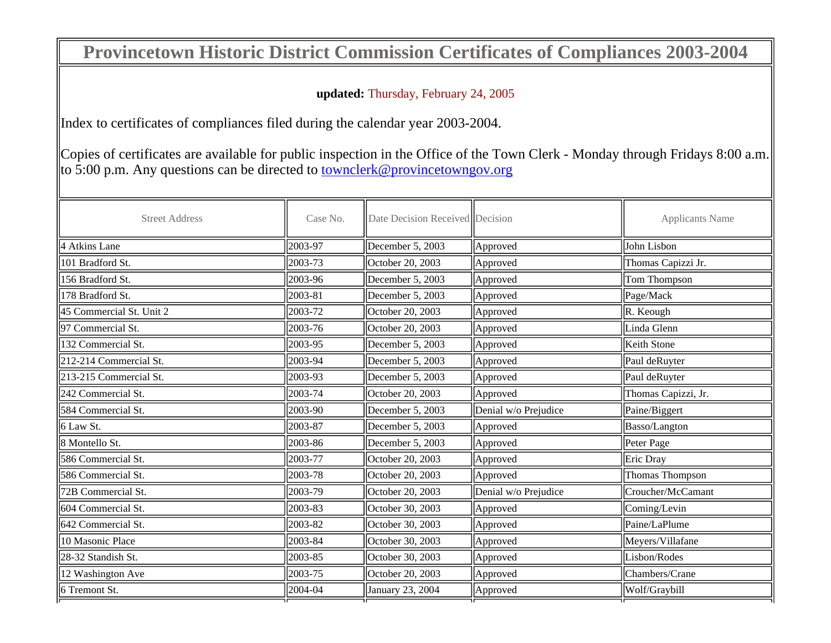## **Provincetown Historic District Commission Certificates of Compliances 2003-2004**

## **updated:** Thursday, February 24, 2005

Index to certificates of compliances filed during the calendar year 2003-2004.

Copies of certificates are available for public inspection in the Office of the Town Clerk - Monday through Fridays 8:00 a.m. to 5:00 p.m. Any questions can be directed to townclerk@provincetowngov.org

| <b>Street Address</b>    | Case No.            | Date Decision Received Decision |                      | <b>Applicants Name</b> |
|--------------------------|---------------------|---------------------------------|----------------------|------------------------|
| 4 Atkins Lane            | 2003-97             | December 5, 2003                | Approved             | John Lisbon            |
| 101 Bradford St.         | 2003-73             | October 20, 2003                | Approved             | Thomas Capizzi Jr.     |
| 156 Bradford St.         | 2003-96             | December 5, 2003                | Approved             | Tom Thompson           |
| 178 Bradford St.         | $\parallel$ 2003-81 | December 5, 2003                | Approved             | Page/Mack              |
| 45 Commercial St. Unit 2 | 2003-72             | October 20, 2003                | Approved             | $\vert$ R. Keough      |
| 97 Commercial St.        | 2003-76             | October 20, 2003                | Approved             | Linda Glenn            |
| 132 Commercial St.       | 2003-95             | December 5, 2003                | Approved             | Keith Stone            |
| 212-214 Commercial St.   | 2003-94             | December 5, 2003                | Approved             | Paul deRuyter          |
| 213-215 Commercial St.   | 2003-93             | December 5, 2003                | Approved             | Paul deRuyter          |
| 242 Commercial St.       | 2003-74             | October 20, 2003                | Approved             | Thomas Capizzi, Jr.    |
| 584 Commercial St.       | $\parallel$ 2003-90 | December 5, 2003                | Denial w/o Prejudice | Paine/Biggert          |
| 6 Law St.                | $\parallel$ 2003-87 | December $5, 2003$              | Approved             | Basso/Langton          |
| 8 Montello St.           | 2003-86             | December $5, 2003$              | Approved             | Peter Page             |
| 586 Commercial St.       | 2003-77             | October 20, 2003                | Approved             | Eric Dray              |
| 586 Commercial St.       | 2003-78             | October 20, 2003                | Approved             | Thomas Thompson        |
| 72B Commercial St.       | 2003-79             | October 20, 2003                | Denial w/o Prejudice | Croucher/McCamant      |
| 604 Commercial St.       | 2003-83             | October 30, 2003                | Approved             | Coming/Levin           |
| 642 Commercial St.       | 2003-82             | October 30, 2003                | Approved             | Paine/LaPlume          |
| 10 Masonic Place         | 2003-84             | October 30, 2003                | Approved             | Meyers/Villafane       |
| 28-32 Standish St.       | 2003-85             | October 30, 2003                | Approved             | Lisbon/Rodes           |
| 12 Washington Ave        | 2003-75             | October 20, 2003                | Approved             | Chambers/Crane         |
| 6 Tremont St.            | 2004-04             | January 23, 2004                | Approved             | Wolf/Graybill          |
|                          |                     |                                 |                      |                        |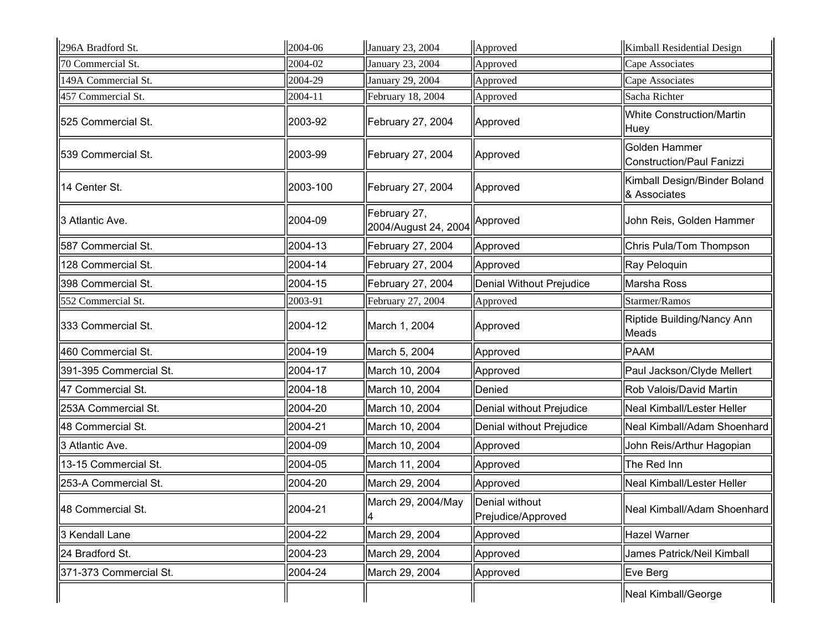| 296A Bradford St.      | 2004-06  | January 23, 2004                     | Approved                                     | Kimball Residential Design                   |
|------------------------|----------|--------------------------------------|----------------------------------------------|----------------------------------------------|
| 70 Commercial St.      | 2004-02  | January 23, 2004                     | Approved                                     | Cape Associates                              |
| 149A Commercial St.    | 2004-29  | January 29, 2004                     | Approved                                     | Cape Associates                              |
| 457 Commercial St.     | 2004-11  | February 18, 2004                    | Approved                                     | Sacha Richter                                |
| 525 Commercial St.     | 2003-92  | February 27, 2004                    | Approved                                     | <b>White Construction/Martin</b><br>Huey     |
| 539 Commercial St.     | 2003-99  | February 27, 2004                    | Approved                                     | Golden Hammer<br>Construction/Paul Fanizzi   |
| 14 Center St.          | 2003-100 | February 27, 2004                    | Approved                                     | Kimball Design/Binder Boland<br>& Associates |
| 3 Atlantic Ave.        | 2004-09  | February 27,<br>2004/August 24, 2004 | Approved                                     | John Reis, Golden Hammer                     |
| 587 Commercial St.     | 2004-13  | February 27, 2004                    | Approved                                     | Chris Pula/Tom Thompson                      |
| 128 Commercial St.     | 2004-14  | February 27, 2004                    | Approved                                     | Ray Peloquin                                 |
| 398 Commercial St.     | 2004-15  | February 27, 2004                    | Denial Without Prejudice                     | Marsha Ross                                  |
| 552 Commercial St.     | 2003-91  | February 27, 2004                    | Approved                                     | Starmer/Ramos                                |
| 333 Commercial St.     | 2004-12  | March 1, 2004                        | Approved                                     | Riptide Building/Nancy Ann<br>Meads          |
| 460 Commercial St.     | 2004-19  | March 5, 2004                        | Approved                                     | <b>PAAM</b>                                  |
| 391-395 Commercial St. | 2004-17  | March 10, 2004                       | Approved                                     | Paul Jackson/Clyde Mellert                   |
| 47 Commercial St.      | 2004-18  | March 10, 2004                       | Denied                                       | Rob Valois/David Martin                      |
| 253A Commercial St.    | 2004-20  | March 10, 2004                       | Denial without Prejudice                     | Neal Kimball/Lester Heller                   |
| 48 Commercial St.      | 2004-21  | March 10, 2004                       | Denial without Prejudice                     | Neal Kimball/Adam Shoenhard                  |
| 3 Atlantic Ave.        | 2004-09  | March 10, 2004                       | Approved                                     | John Reis/Arthur Hagopian                    |
| 13-15 Commercial St.   | 2004-05  | March 11, 2004                       | Approved                                     | The Red Inn                                  |
| 253-A Commercial St.   | 2004-20  | March 29, 2004                       | Approved                                     | Neal Kimball/Lester Heller                   |
| 48 Commercial St.      | 2004-21  | March 29, 2004/May<br>4              | <b>IDenial without</b><br>Prejudice/Approved | Neal Kimball/Adam Shoenhard                  |
| 3 Kendall Lane         | 2004-22  | March 29, 2004                       | Approved                                     | Hazel Warner                                 |
| 24 Bradford St.        | 2004-23  | March 29, 2004                       | Approved                                     | James Patrick/Neil Kimball                   |
| 371-373 Commercial St. | 2004-24  | March 29, 2004                       | Approved                                     | Eve Berg                                     |
|                        |          |                                      |                                              | Neal Kimball/George                          |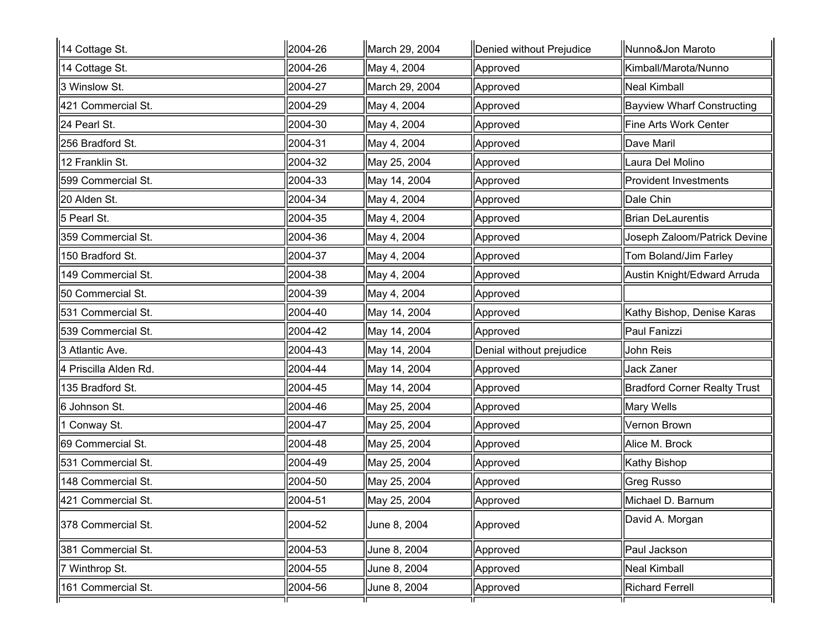| 14 Cottage St.        | 2004-26 | March 29, 2004 | Denied without Prejudice | Nunno&Jon Maroto                  |
|-----------------------|---------|----------------|--------------------------|-----------------------------------|
| 14 Cottage St.        | 2004-26 | May 4, 2004    | Approved                 | Kimball/Marota/Nunno              |
| 3 Winslow St.         | 2004-27 | March 29, 2004 | Approved                 | Neal Kimball                      |
| 421 Commercial St.    | 2004-29 | May 4, 2004    | Approved                 | <b>Bayview Wharf Constructing</b> |
| 24 Pearl St.          | 2004-30 | May 4, 2004    | Approved                 | Fine Arts Work Center             |
| 256 Bradford St.      | 2004-31 | May 4, 2004    | Approved                 | Dave Maril                        |
| 12 Franklin St.       | 2004-32 | May 25, 2004   | Approved                 | Laura Del Molino                  |
| 599 Commercial St.    | 2004-33 | May 14, 2004   | Approved                 | <b>Provident Investments</b>      |
| 20 Alden St.          | 2004-34 | May 4, 2004    | Approved                 | Dale Chin                         |
| 5 Pearl St.           | 2004-35 | May 4, 2004    | Approved                 | <b>Brian DeLaurentis</b>          |
| 359 Commercial St.    | 2004-36 | May 4, 2004    | Approved                 | Joseph Zaloom/Patrick Devine      |
| 150 Bradford St.      | 2004-37 | May 4, 2004    | Approved                 | Tom Boland/Jim Farley             |
| 149 Commercial St.    | 2004-38 | May 4, 2004    | Approved                 | Austin Knight/Edward Arruda       |
| 50 Commercial St.     | 2004-39 | May 4, 2004    | Approved                 |                                   |
| 531 Commercial St.    | 2004-40 | May 14, 2004   | Approved                 | Kathy Bishop, Denise Karas        |
| 539 Commercial St.    | 2004-42 | May 14, 2004   | Approved                 | Paul Fanizzi                      |
| 3 Atlantic Ave.       | 2004-43 | May 14, 2004   | Denial without prejudice | John Reis                         |
| 4 Priscilla Alden Rd. | 2004-44 | May 14, 2004   | Approved                 | Jack Zaner                        |
| 135 Bradford St.      | 2004-45 | May 14, 2004   | Approved                 | Bradford Corner Realty Trust      |
| 6 Johnson St.         | 2004-46 | May 25, 2004   | Approved                 | Mary Wells                        |
| 1 Conway St.          | 2004-47 | May 25, 2004   | Approved                 | Vernon Brown                      |
| 69 Commercial St.     | 2004-48 | May 25, 2004   | Approved                 | Alice M. Brock                    |
| 531 Commercial St.    | 2004-49 | May 25, 2004   | Approved                 | Kathy Bishop                      |
| 148 Commercial St.    | 2004-50 | May 25, 2004   | Approved                 | Greg Russo                        |
| 421 Commercial St.    | 2004-51 | May 25, 2004   | Approved                 | Michael D. Barnum                 |
| 378 Commercial St.    | 2004-52 | Uune 8, 2004   | Approved                 | David A. Morgan                   |
| 381 Commercial St.    | 2004-53 | June 8, 2004   | Approved                 | Paul Jackson                      |
| 7 Winthrop St.        | 2004-55 | June 8, 2004   | Approved                 | Neal Kimball                      |
| 161 Commercial St.    | 2004-56 | June 8, 2004   | Approved                 | Richard Ferrell                   |
|                       |         |                |                          |                                   |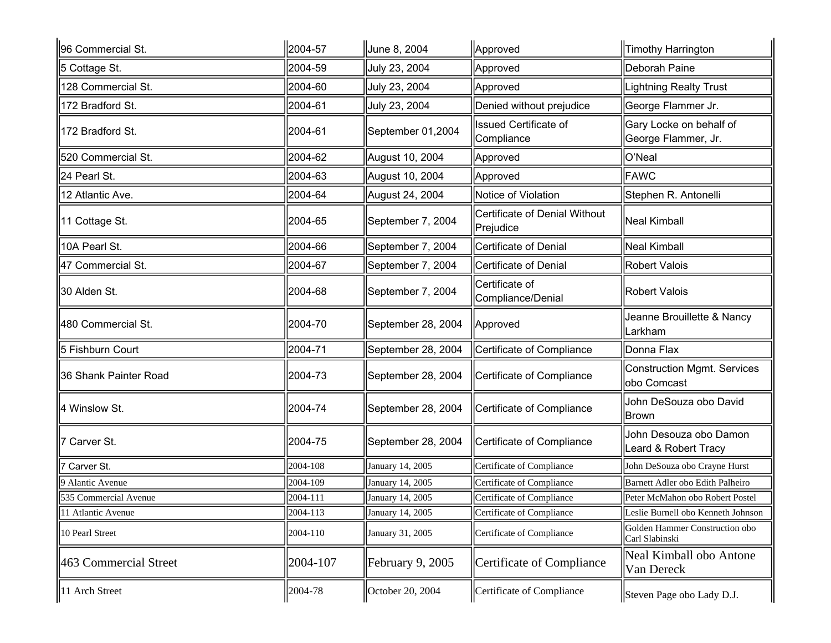| 96 Commercial St.     | 2004-57  | June 8, 2004       | Approved                                   | Timothy Harrington                                |
|-----------------------|----------|--------------------|--------------------------------------------|---------------------------------------------------|
| 5 Cottage St.         | 2004-59  | July 23, 2004      | Approved                                   | Deborah Paine                                     |
| 128 Commercial St.    | 2004-60  | July 23, 2004      | Approved                                   | <b>Lightning Realty Trust</b>                     |
| 172 Bradford St.      | 2004-61  | July 23, 2004      | Denied without prejudice                   | George Flammer Jr.                                |
| 172 Bradford St.      | 2004-61  | September 01,2004  | <b>Issued Certificate of</b><br>Compliance | Gary Locke on behalf of<br>George Flammer, Jr.    |
| 520 Commercial St.    | 2004-62  | August 10, 2004    | Approved                                   | O'Neal                                            |
| 24 Pearl St.          | 2004-63  | August 10, 2004    | Approved                                   | FAWC                                              |
| 12 Atlantic Ave.      | 2004-64  | August 24, 2004    | Notice of Violation                        | Stephen R. Antonelli                              |
| 11 Cottage St.        | 2004-65  | September 7, 2004  | Certificate of Denial Without<br>Prejudice | <b>Neal Kimball</b>                               |
| 10A Pearl St.         | 2004-66  | September 7, 2004  | Certificate of Denial                      | <b>Neal Kimball</b>                               |
| 47 Commercial St.     | 2004-67  | September 7, 2004  | Certificate of Denial                      | Robert Valois                                     |
| 30 Alden St.          | 2004-68  | September 7, 2004  | Certificate of<br>Compliance/Denial        | Robert Valois                                     |
| 480 Commercial St.    | 2004-70  | September 28, 2004 | Approved                                   | Jeanne Brouillette & Nancy<br>Larkham             |
| 5 Fishburn Court      | 2004-71  | September 28, 2004 | Certificate of Compliance                  | Donna Flax                                        |
| 36 Shank Painter Road | 2004-73  | September 28, 2004 | Certificate of Compliance                  | <b>Construction Mgmt. Services</b><br>obo Comcast |
| 4 Winslow St.         | 2004-74  | September 28, 2004 | Certificate of Compliance                  | John DeSouza obo David<br>Brown                   |
| 7 Carver St.          | 2004-75  | September 28, 2004 | Certificate of Compliance                  | John Desouza obo Damon<br>Leard & Robert Tracy    |
| Carver St.            | 2004-108 | January 14, 2005   | Certificate of Compliance                  | John DeSouza obo Crayne Hurst                     |
| 9 Alantic Avenue      | 2004-109 | January 14, 2005   | Certificate of Compliance                  | Barnett Adler obo Edith Palheiro                  |
| 535 Commercial Avenue | 2004-111 | January 14, 2005   | Certificate of Compliance                  | Peter McMahon obo Robert Postel                   |
| 11 Atlantic Avenue    | 2004-113 | January 14, 2005   | Certificate of Compliance                  | Leslie Burnell obo Kenneth Johnson                |
| 10 Pearl Street       | 2004-110 | January 31, 2005   | Certificate of Compliance                  | Golden Hammer Construction obo<br>Carl Slabinski  |
| 463 Commercial Street | 2004-107 | February 9, 2005   | Certificate of Compliance                  | Neal Kimball obo Antone<br>Van Dereck             |
| 11 Arch Street        | 2004-78  | October 20, 2004   | Certificate of Compliance                  | Steven Page obo Lady D.J.                         |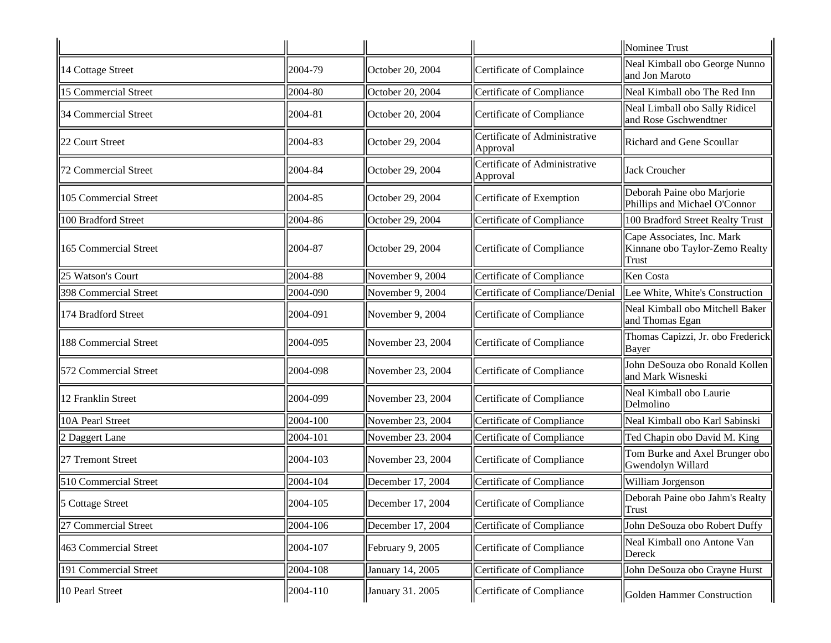|                              |               |                           |                                           | Nominee Trust                                                                |
|------------------------------|---------------|---------------------------|-------------------------------------------|------------------------------------------------------------------------------|
| 14 Cottage Street            | 2004-79       | October 20, 2004          | Certificate of Complaince                 | Neal Kimball obo George Nunno<br>and Jon Maroto                              |
| 15 Commercial Street         | 2004-80       | October 20, 2004          | Certificate of Compliance                 | Neal Kimball obo The Red Inn                                                 |
| 34 Commercial Street         | 2004-81       | October 20, 2004          | Certificate of Compliance                 | Neal Limball obo Sally Ridicel<br>and Rose Gschwendtner                      |
| 22 Court Street              | 2004-83       | October 29, 2004          | Certificate of Administrative<br>Approval | Richard and Gene Scoullar                                                    |
| 72 Commercial Street         | 2004-84       | October 29, 2004          | Certificate of Administrative<br>Approval | Jack Croucher                                                                |
| 105 Commercial Street        | 2004-85       | October 29, 2004          | Certificate of Exemption                  | Deborah Paine obo Marjorie<br>Phillips and Michael O'Connor                  |
| 100 Bradford Street          | 2004-86       | October 29, 2004          | Certificate of Compliance                 | 100 Bradford Street Realty Trust                                             |
| 165 Commercial Street        | 2004-87       | Cotober 29, 2004          | Certificate of Compliance                 | Cape Associates, Inc. Mark<br>Kinnane obo Taylor-Zemo Realty<br><b>Trust</b> |
| 25 Watson's Court            | 2004-88       | November 9, 2004          | Certificate of Compliance                 | <b>Ken</b> Costa                                                             |
| <b>398 Commercial Street</b> | 2004-090      | November 9, 2004          | Certificate of Compliance/Denial          | Lee White, White's Construction                                              |
| 174 Bradford Street          | 2004-091      | November 9, 2004          | Certificate of Compliance                 | Neal Kimball obo Mitchell Baker<br>and Thomas Egan                           |
| <b>188 Commercial Street</b> | 2004-095      | $\vert$ November 23, 2004 | Certificate of Compliance                 | Thomas Capizzi, Jr. obo Frederick<br>Bayer                                   |
| 572 Commercial Street        | 2004-098      | $\vert$ November 23, 2004 | Certificate of Compliance                 | John DeSouza obo Ronald Kollen<br>and Mark Wisneski                          |
| 12 Franklin Street           | 2004-099      | $\vert$ November 23, 2004 | Certificate of Compliance                 | Neal Kimball obo Laurie<br>Delmolino                                         |
| 10A Pearl Street             | 2004-100      | November 23, 2004         | Certificate of Compliance                 | Neal Kimball obo Karl Sabinski                                               |
| 2 Daggert Lane               | 2004-101      | November 23. 2004         | Certificate of Compliance                 | Ted Chapin obo David M. King                                                 |
| 27 Tremont Street            | 2004-103      | $\vert$ November 23, 2004 | Certificate of Compliance                 | Tom Burke and Axel Brunger obo<br>Gwendolyn Willard                          |
| 510 Commercial Street        | 2004-104      | December 17, 2004         | Certificate of Compliance                 | William Jorgenson                                                            |
| 5 Cottage Street             | 2004-105      | December 17, 2004         | Certificate of Compliance                 | Deborah Paine obo Jahm's Realty<br>Trust                                     |
| 27 Commercial Street         | 2004-106      | December 17, 2004         | Certificate of Compliance                 | John DeSouza obo Robert Duffy                                                |
| 463 Commercial Street        | 2004-107      | February 9, 2005          | Certificate of Compliance                 | Neal Kimball ono Antone Van<br>Dereck                                        |
| 191 Commercial Street        | 2004-108      | January 14, 2005          | Certificate of Compliance                 | John DeSouza obo Crayne Hurst                                                |
| 10 Pearl Street              | $ 2004 - 110$ | January 31. 2005          | Certificate of Compliance                 | Golden Hammer Construction                                                   |